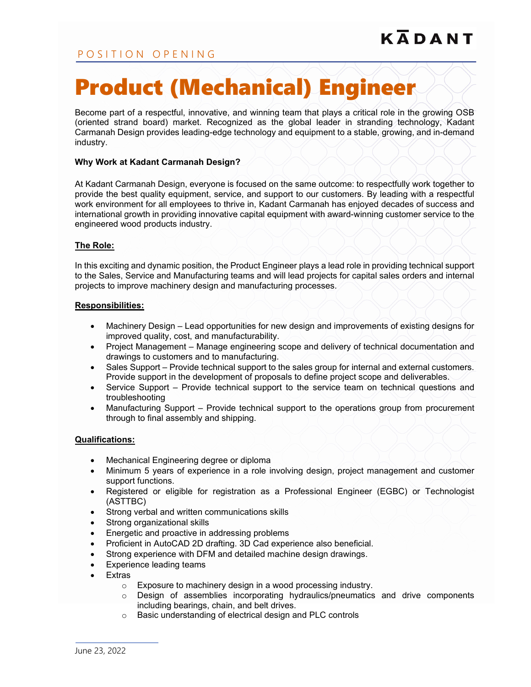# POSITION OPENING

# Product (Mechanical) Engineer

Become part of a respectful, innovative, and winning team that plays a critical role in the growing OSB (oriented strand board) market. Recognized as the global leader in stranding technology, Kadant Carmanah Design provides leading-edge technology and equipment to a stable, growing, and in-demand industry.

#### **Why Work at Kadant Carmanah Design?**

At Kadant Carmanah Design, everyone is focused on the same outcome: to respectfully work together to provide the best quality equipment, service, and support to our customers. By leading with a respectful work environment for all employees to thrive in, Kadant Carmanah has enjoyed decades of success and international growth in providing innovative capital equipment with award-winning customer service to the engineered wood products industry.

### **The Role:**

In this exciting and dynamic position, the Product Engineer plays a lead role in providing technical support to the Sales, Service and Manufacturing teams and will lead projects for capital sales orders and internal projects to improve machinery design and manufacturing processes.

#### **Responsibilities:**

- Machinery Design Lead opportunities for new design and improvements of existing designs for improved quality, cost, and manufacturability.
- Project Management Manage engineering scope and delivery of technical documentation and drawings to customers and to manufacturing.
- Sales Support Provide technical support to the sales group for internal and external customers. Provide support in the development of proposals to define project scope and deliverables.
- Service Support Provide technical support to the service team on technical questions and troubleshooting
- Manufacturing Support Provide technical support to the operations group from procurement through to final assembly and shipping.

#### **Qualifications:**

- Mechanical Engineering degree or diploma
- Minimum 5 years of experience in a role involving design, project management and customer support functions.
- Registered or eligible for registration as a Professional Engineer (EGBC) or Technologist (ASTTBC)
- Strong verbal and written communications skills
- Strong organizational skills
- Energetic and proactive in addressing problems
- Proficient in AutoCAD 2D drafting. 3D Cad experience also beneficial.
- Strong experience with DFM and detailed machine design drawings.
- Experience leading teams
- **Extras** 
	- o Exposure to machinery design in a wood processing industry.
	- $\circ$  Design of assemblies incorporating hydraulics/pneumatics and drive components including bearings, chain, and belt drives.
	- o Basic understanding of electrical design and PLC controls